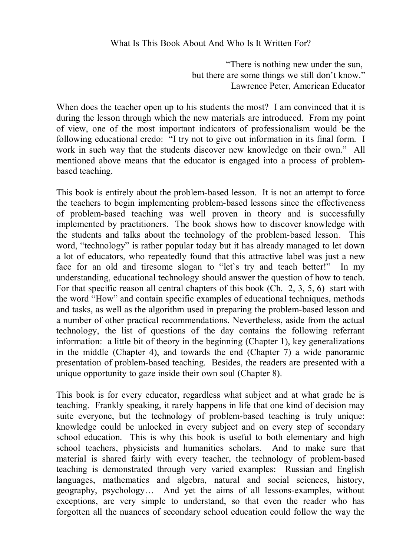"There is nothing new under the sun, but there are some things we still don't know." Lawrence Peter, American Educator

When does the teacher open up to his students the most? I am convinced that it is during the lesson through which the new materials are introduced. From my point of view, one of the most important indicators of professionalism would be the following educational credo: "I try not to give out information in its final form. I work in such way that the students discover new knowledge on their own." All mentioned above means that the educator is engaged into a process of problembased teaching.

This book is entirely about the problem-based lesson. It is not an attempt to force the teachers to begin implementing problem-based lessons since the effectiveness of problem-based teaching was well proven in theory and is successfully implemented by practitioners. The book shows how to discover knowledge with the students and talks about the technology of the problem-based lesson. This word, "technology" is rather popular today but it has already managed to let down a lot of educators, who repeatedly found that this attractive label was just a new face for an old and tiresome slogan to "let`s try and teach better!" In my understanding, educational technology should answer the question of how to teach. For that specific reason all central chapters of this book (Ch. 2, 3, 5, 6) start with the word "How" and contain specific examples of educational techniques, methods and tasks, as well as the algorithm used in preparing the problem-based lesson and a number of other practical recommendations. Nevertheless, aside from the actual technology, the list of questions of the day contains the following referrant information: a little bit of theory in the beginning (Chapter 1), key generalizations in the middle (Chapter 4), and towards the end (Chapter 7) a wide panoramic presentation of problem-based teaching. Besides, the readers are presented with a unique opportunity to gaze inside their own soul (Chapter 8).

This book is for every educator, regardless what subject and at what grade he is teaching. Frankly speaking, it rarely happens in life that one kind of decision may suite everyone, but the technology of problem-based teaching is truly unique: knowledge could be unlocked in every subject and on every step of secondary school education. This is why this book is useful to both elementary and high school teachers, physicists and humanities scholars. And to make sure that material is shared fairly with every teacher, the technology of problem-based teaching is demonstrated through very varied examples: Russian and English languages, mathematics and algebra, natural and social sciences, history, geography, psychology… And yet the aims of all lessons-examples, without exceptions, are very simple to understand, so that even the reader who has forgotten all the nuances of secondary school education could follow the way the